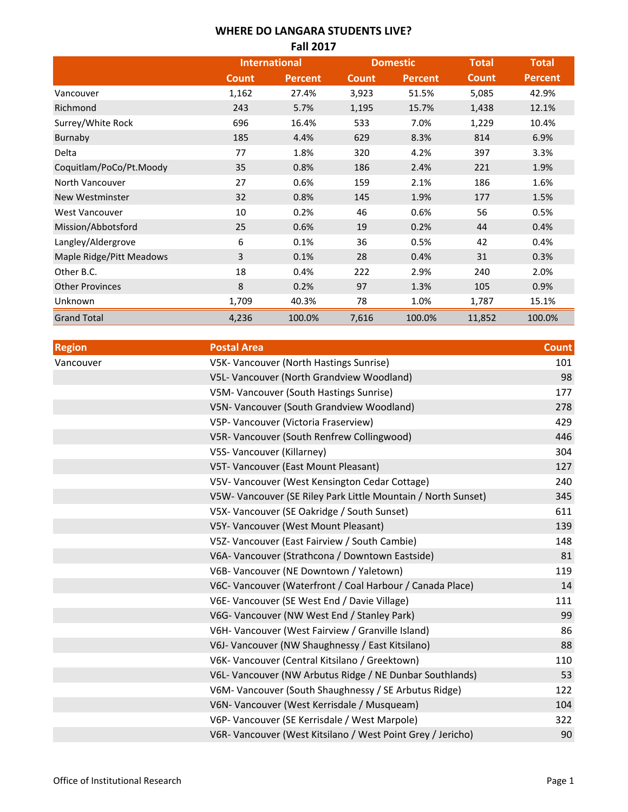### **WHERE DO LANGARA STUDENTS LIVE? Fall 2017**

|                          | <b>International</b> |                | <b>Domestic</b> |                | <b>Total</b> | <b>Total</b>   |
|--------------------------|----------------------|----------------|-----------------|----------------|--------------|----------------|
|                          | <b>Count</b>         | <b>Percent</b> | <b>Count</b>    | <b>Percent</b> | <b>Count</b> | <b>Percent</b> |
| Vancouver                | 1,162                | 27.4%          | 3,923           | 51.5%          | 5,085        | 42.9%          |
| Richmond                 | 243                  | 5.7%           | 1,195           | 15.7%          | 1,438        | 12.1%          |
| Surrey/White Rock        | 696                  | 16.4%          | 533             | 7.0%           | 1,229        | 10.4%          |
| Burnaby                  | 185                  | 4.4%           | 629             | 8.3%           | 814          | 6.9%           |
| Delta                    | 77                   | 1.8%           | 320             | 4.2%           | 397          | 3.3%           |
| Coquitlam/PoCo/Pt.Moody  | 35                   | 0.8%           | 186             | 2.4%           | 221          | 1.9%           |
| North Vancouver          | 27                   | 0.6%           | 159             | 2.1%           | 186          | 1.6%           |
| New Westminster          | 32                   | 0.8%           | 145             | 1.9%           | 177          | 1.5%           |
| West Vancouver           | 10                   | 0.2%           | 46              | 0.6%           | 56           | 0.5%           |
| Mission/Abbotsford       | 25                   | 0.6%           | 19              | 0.2%           | 44           | 0.4%           |
| Langley/Aldergrove       | 6                    | 0.1%           | 36              | 0.5%           | 42           | 0.4%           |
| Maple Ridge/Pitt Meadows | 3                    | 0.1%           | 28              | 0.4%           | 31           | 0.3%           |
| Other B.C.               | 18                   | 0.4%           | 222             | 2.9%           | 240          | 2.0%           |
| <b>Other Provinces</b>   | 8                    | 0.2%           | 97              | 1.3%           | 105          | 0.9%           |
| Unknown                  | 1,709                | 40.3%          | 78              | 1.0%           | 1,787        | 15.1%          |
| <b>Grand Total</b>       | 4,236                | 100.0%         | 7,616           | 100.0%         | 11,852       | 100.0%         |

| <b>Region</b> | <b>Postal Area</b>                                            | <b>Count</b> |
|---------------|---------------------------------------------------------------|--------------|
| Vancouver     | V5K- Vancouver (North Hastings Sunrise)                       | 101          |
|               | V5L- Vancouver (North Grandview Woodland)                     | 98           |
|               | V5M- Vancouver (South Hastings Sunrise)                       | 177          |
|               | V5N- Vancouver (South Grandview Woodland)                     | 278          |
|               | V5P- Vancouver (Victoria Fraserview)                          | 429          |
|               | V5R- Vancouver (South Renfrew Collingwood)                    | 446          |
|               | V5S-Vancouver (Killarney)                                     | 304          |
|               | V5T- Vancouver (East Mount Pleasant)                          | 127          |
|               | V5V- Vancouver (West Kensington Cedar Cottage)                | 240          |
|               | V5W- Vancouver (SE Riley Park Little Mountain / North Sunset) | 345          |
|               | V5X- Vancouver (SE Oakridge / South Sunset)                   | 611          |
|               | V5Y- Vancouver (West Mount Pleasant)                          | 139          |
|               | V5Z- Vancouver (East Fairview / South Cambie)                 | 148          |
|               | V6A- Vancouver (Strathcona / Downtown Eastside)               | 81           |
|               | V6B- Vancouver (NE Downtown / Yaletown)                       | 119          |
|               | V6C- Vancouver (Waterfront / Coal Harbour / Canada Place)     | 14           |
|               | V6E- Vancouver (SE West End / Davie Village)                  | 111          |
|               | V6G- Vancouver (NW West End / Stanley Park)                   | 99           |
|               | V6H- Vancouver (West Fairview / Granville Island)             | 86           |
|               | V6J- Vancouver (NW Shaughnessy / East Kitsilano)              | 88           |
|               | V6K- Vancouver (Central Kitsilano / Greektown)                | 110          |
|               | V6L- Vancouver (NW Arbutus Ridge / NE Dunbar Southlands)      | 53           |
|               | V6M- Vancouver (South Shaughnessy / SE Arbutus Ridge)         | 122          |
|               | V6N- Vancouver (West Kerrisdale / Musqueam)                   | 104          |
|               | V6P- Vancouver (SE Kerrisdale / West Marpole)                 | 322          |
|               | V6R- Vancouver (West Kitsilano / West Point Grey / Jericho)   | 90           |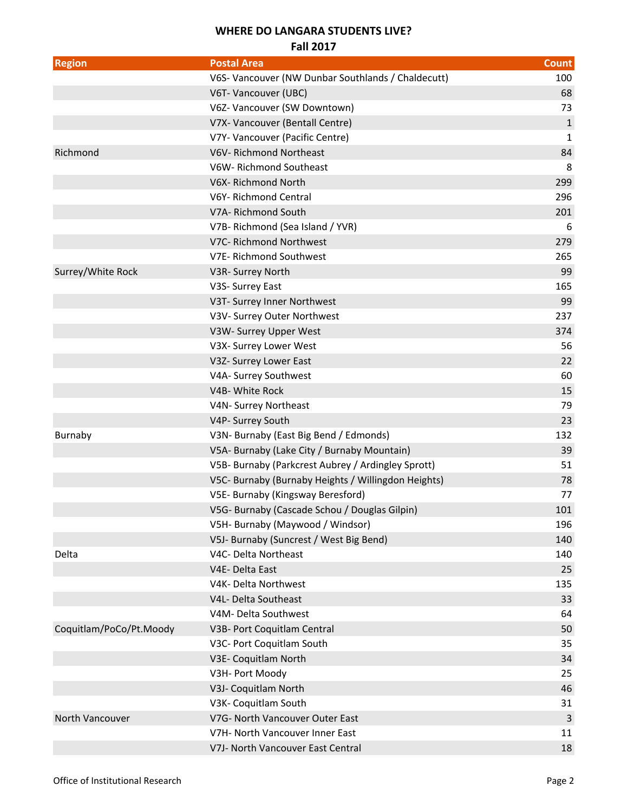## **WHERE DO LANGARA STUDENTS LIVE?**

### **Fall 2017**

| <b>Region</b>           | <b>Postal Area</b>                                  | <b>Count</b> |
|-------------------------|-----------------------------------------------------|--------------|
|                         | V6S- Vancouver (NW Dunbar Southlands / Chaldecutt)  | 100          |
|                         | V6T- Vancouver (UBC)                                | 68           |
|                         | V6Z- Vancouver (SW Downtown)                        | 73           |
|                         | V7X- Vancouver (Bentall Centre)                     | $\mathbf{1}$ |
|                         | V7Y- Vancouver (Pacific Centre)                     | 1            |
| Richmond                | V6V-Richmond Northeast                              | 84           |
|                         | V6W-Richmond Southeast                              | 8            |
|                         | V6X-Richmond North                                  | 299          |
|                         | V6Y-Richmond Central                                | 296          |
|                         | V7A- Richmond South                                 | 201          |
|                         | V7B-Richmond (Sea Island / YVR)                     | 6            |
|                         | V7C- Richmond Northwest                             | 279          |
|                         | V7E-Richmond Southwest                              | 265          |
| Surrey/White Rock       | V3R- Surrey North                                   | 99           |
|                         | V3S- Surrey East                                    | 165          |
|                         | V3T- Surrey Inner Northwest                         | 99           |
|                         | V3V- Surrey Outer Northwest                         | 237          |
|                         | V3W- Surrey Upper West                              | 374          |
|                         | V3X- Surrey Lower West                              | 56           |
|                         | V3Z- Surrey Lower East                              | 22           |
|                         | V4A- Surrey Southwest                               | 60           |
|                         | V4B- White Rock                                     | 15           |
|                         | V4N- Surrey Northeast                               | 79           |
|                         | V4P- Surrey South                                   | 23           |
| Burnaby                 | V3N- Burnaby (East Big Bend / Edmonds)              | 132          |
|                         | V5A- Burnaby (Lake City / Burnaby Mountain)         | 39           |
|                         | V5B- Burnaby (Parkcrest Aubrey / Ardingley Sprott)  | 51           |
|                         | V5C- Burnaby (Burnaby Heights / Willingdon Heights) | 78           |
|                         | V5E- Burnaby (Kingsway Beresford)                   | 77           |
|                         | V5G- Burnaby (Cascade Schou / Douglas Gilpin)       | 101          |
|                         | V5H- Burnaby (Maywood / Windsor)                    | 196          |
|                         | V5J- Burnaby (Suncrest / West Big Bend)             | 140          |
| Delta                   | V4C- Delta Northeast                                | 140          |
|                         | V4E- Delta East                                     | 25           |
|                         | V4K- Delta Northwest                                | 135          |
|                         | V4L- Delta Southeast                                | 33           |
|                         | V4M- Delta Southwest                                | 64           |
| Coquitlam/PoCo/Pt.Moody | V3B- Port Coquitlam Central                         | 50           |
|                         | V3C- Port Coquitlam South                           | 35           |
|                         | V3E- Coquitlam North                                | 34           |
|                         | V3H- Port Moody                                     | 25           |
|                         | V3J- Coquitlam North                                | 46           |
|                         | V3K- Coquitlam South                                | 31           |
| North Vancouver         | V7G- North Vancouver Outer East                     | 3            |
|                         | V7H- North Vancouver Inner East                     | 11           |
|                         | V7J- North Vancouver East Central                   | 18           |